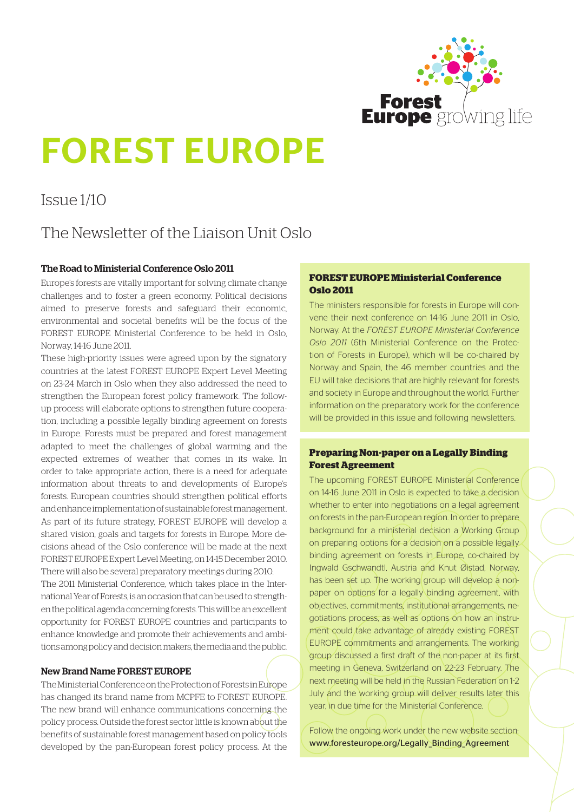

# FOREST EUROPE

# Issue 1/10

# The Newsletter of the Liaison Unit Oslo

# The Road to Ministerial Conference Oslo 2011

Europe's forests are vitally important for solving climate change challenges and to foster a green economy. Political decisions aimed to preserve forests and safeguard their economic, environmental and societal benefits will be the focus of the FOREST EUROPE Ministerial Conference to be held in Oslo, Norway, 14-16 June 2011.

These high-priority issues were agreed upon by the signatory countries at the latest FOREST EUROPE Expert Level Meeting on 23-24 March in Oslo when they also addressed the need to strengthen the European forest policy framework. The followup process will elaborate options to strengthen future cooperation, including a possible legally binding agreement on forests in Europe. Forests must be prepared and forest management adapted to meet the challenges of global warming and the expected extremes of weather that comes in its wake. In order to take appropriate action, there is a need for adequate information about threats to and developments of Europe's forests. European countries should strengthen political efforts and enhance implementation of sustainable forest management. As part of its future strategy, FOREST EUROPE will develop a shared vision, goals and targets for forests in Europe. More decisions ahead of the Oslo conference will be made at the next FOREST EUROPE Expert Level Meeting, on 14-15 December 2010. There will also be several preparatory meetings during 2010. The 2011 Ministerial Conference, which takes place in the International Year of Forests, is an occasion that can be used to strength-

en the political agenda concerning forests. This will be an excellent opportunity for FOREST EUROPE countries and participants to enhance knowledge and promote their achievements and ambitions among policy and decision makers, the media and the public.

# New Brand Name FOREST EUROPE

The Ministerial Conference on the Protection of Forests in Europe has changed its brand name from MCPFE to FOREST EUROPE. The new brand will enhance communications concerning the policy process. Outside the forest sector little is known about the benefits of sustainable forest management based on policy tools developed by the pan-European forest policy process. At the

## **FOREST EUROPE Ministerial Conference Oslo 2011**

The ministers responsible for forests in Europe will convene their next conference on 14-16 June 2011 in Oslo, Norway. At the *FOREST EUROPE Ministerial Conference Oslo 2011* (6th Ministerial Conference on the Protection of Forests in Europe), which will be co-chaired by Norway and Spain, the 46 member countries and the EU will take decisions that are highly relevant for forests and society in Europe and throughout the world. Further information on the preparatory work for the conference will be provided in this issue and following newsletters.

## **Preparing Non-paper on a Legally Binding Forest Agreement**

The upcoming FOREST EUROPE Ministerial Conference on 14-16 June 2011 in Oslo is expected to take a decision whether to enter into negotiations on a legal agreement on forests in the pan-European region. In order to prepare background for a ministerial decision a Working Group on preparing options for a decision on a possible legally binding agreement on forests in Europe, co-chaired by Ingwald Gschwandtl, Austria and Knut Øistad, Norway, has been set up. The working group will develop a nonpaper on options for a legally binding agreement, with objectives, commitments, institutional arrangements, negotiations process, as well as options on how an instrument could take advantage of already existing FOREST EUROPE commitments and arrangements. The working group discussed a first draft of the non-paper at its first meeting in Geneva, Switzerland on 22-23 February. The next meeting will be held in the Russian Federation on 1-2 July and the working group will deliver results later this year, in due time for the Ministerial Conference.

Follow the ongoing work under the new website section: [www.foresteurope.org/Legally\\_Binding\\_Agreement](www.foresteurope.org/Legally_Binding_Agreement)